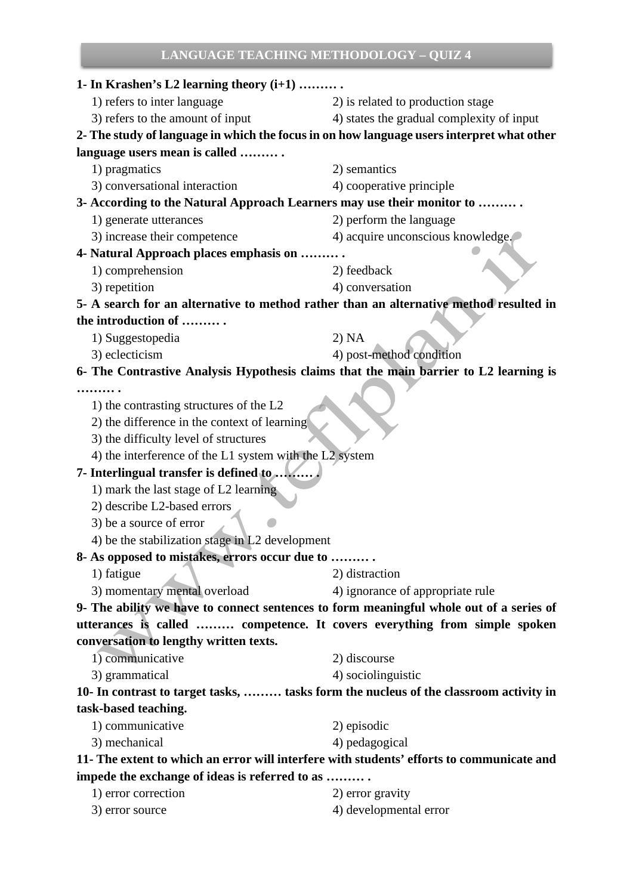# **LANGUAGE TEACHING METHODOLOGY – QUIZ 4**

| 1- In Krashen's L2 learning theory $(i+1)$                                                |                                           |  |  |
|-------------------------------------------------------------------------------------------|-------------------------------------------|--|--|
| 1) refers to inter language                                                               | 2) is related to production stage         |  |  |
| 3) refers to the amount of input                                                          | 4) states the gradual complexity of input |  |  |
| 2- The study of language in which the focus in on how language users interpret what other |                                           |  |  |
| language users mean is called                                                             |                                           |  |  |
| 1) pragmatics                                                                             | 2) semantics                              |  |  |
| 3) conversational interaction                                                             | 4) cooperative principle                  |  |  |
| 3- According to the Natural Approach Learners may use their monitor to                    |                                           |  |  |
| 1) generate utterances                                                                    | 2) perform the language                   |  |  |
| 3) increase their competence                                                              | 4) acquire unconscious knowledge.         |  |  |
| 4- Natural Approach places emphasis on                                                    |                                           |  |  |
| 1) comprehension                                                                          | 2) feedback                               |  |  |
| 3) repetition                                                                             | 4) conversation                           |  |  |
| 5- A search for an alternative to method rather than an alternative method resulted in    |                                           |  |  |
| the introduction of                                                                       |                                           |  |  |
| 1) Suggestopedia                                                                          | 2) NA                                     |  |  |
| 3) eclecticism                                                                            | 4) post-method condition                  |  |  |
| 6- The Contrastive Analysis Hypothesis claims that the main barrier to L2 learning is     |                                           |  |  |
|                                                                                           |                                           |  |  |
| 1) the contrasting structures of the L2                                                   |                                           |  |  |
| 2) the difference in the context of learning                                              |                                           |  |  |
| 3) the difficulty level of structures                                                     |                                           |  |  |
| 4) the interference of the L1 system with the L2 system                                   |                                           |  |  |
| 7- Interlingual transfer is defined to                                                    |                                           |  |  |
| 1) mark the last stage of L2 learning                                                     |                                           |  |  |
| 2) describe L2-based errors                                                               |                                           |  |  |
| 3) be a source of error                                                                   |                                           |  |  |
| 4) be the stabilization stage in L2 development                                           |                                           |  |  |
| 8- As opposed to mistakes, errors occur due to                                            |                                           |  |  |
| 1) fatigue                                                                                | 2) distraction                            |  |  |
| 3) momentary mental overload                                                              | 4) ignorance of appropriate rule          |  |  |
| 9- The ability we have to connect sentences to form meaningful whole out of a series of   |                                           |  |  |
| utterances is called  competence. It covers everything from simple spoken                 |                                           |  |  |
| conversation to lengthy written texts.                                                    |                                           |  |  |
| 1) communicative                                                                          | 2) discourse                              |  |  |
| 3) grammatical                                                                            | 4) sociolinguistic                        |  |  |
| 10- In contrast to target tasks,  tasks form the nucleus of the classroom activity in     |                                           |  |  |
| task-based teaching.                                                                      |                                           |  |  |
| 1) communicative                                                                          | 2) episodic                               |  |  |
| 3) mechanical                                                                             | 4) pedagogical                            |  |  |
| 11- The extent to which an error will interfere with students' efforts to communicate and |                                           |  |  |
| impede the exchange of ideas is referred to as                                            |                                           |  |  |
| 1) error correction                                                                       | 2) error gravity                          |  |  |
|                                                                                           |                                           |  |  |

3) error source 4) developmental error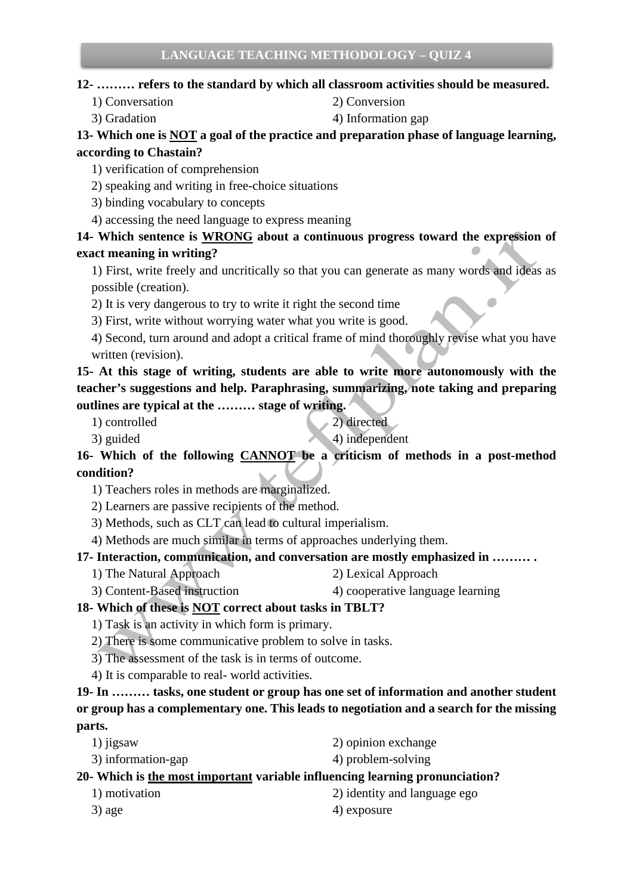#### **12- ……… refers to the standard by which all classroom activities should be measured.**

- 1) Conversation 2) Conversion
- 3) Gradation 4) Information gap

#### **13- Which one is NOT a goal of the practice and preparation phase of language learning, according to Chastain?**

1) verification of comprehension

- 2) speaking and writing in free-choice situations
- 3) binding vocabulary to concepts
- 4) accessing the need language to express meaning

## **14- Which sentence is WRONG about a continuous progress toward the expression of exact meaning in writing?**

- 1) First, write freely and uncritically so that you can generate as many words and ideas as possible (creation).
- 2) It is very dangerous to try to write it right the second time
- 3) First, write without worrying water what you write is good.
- 4) Second, turn around and adopt a critical frame of mind thoroughly revise what you have written (revision).

**15- At this stage of writing, students are able to write more autonomously with the teacher's suggestions and help. Paraphrasing, summarizing, note taking and preparing outlines are typical at the ……… stage of writing.**

- 1) controlled 2) directed
	-
- 3) guided 4) independent

**16- Which of the following CANNOT be a criticism of methods in a post-method condition?**

- 1) Teachers roles in methods are marginalized.
- 2) Learners are passive recipients of the method.
- 3) Methods, such as CLT can lead to cultural imperialism.
- 4) Methods are much similar in terms of approaches underlying them.

#### **17- Interaction, communication, and conversation are mostly emphasized in ……… .**

- 1) The Natural Approach 2) Lexical Approach
- 3) Content-Based instruction 4) cooperative language learning

#### **18- Which of these is NOT correct about tasks in TBLT?**

- 1) Task is an activity in which form is primary.
- 2) There is some communicative problem to solve in tasks.
- 3) The assessment of the task is in terms of outcome.
- 4) It is comparable to real- world activities.

## **19- In ……… tasks, one student or group has one set of information and another student or group has a complementary one. This leads to negotiation and a search for the missing parts.**

1) jigsaw 2) opinion exchange 3) information-gap 4) problem-solving

#### **20- Which is the most important variable influencing learning pronunciation?**

- 1) motivation 2) identity and language ego  $3)$  age  $4)$  exposure
-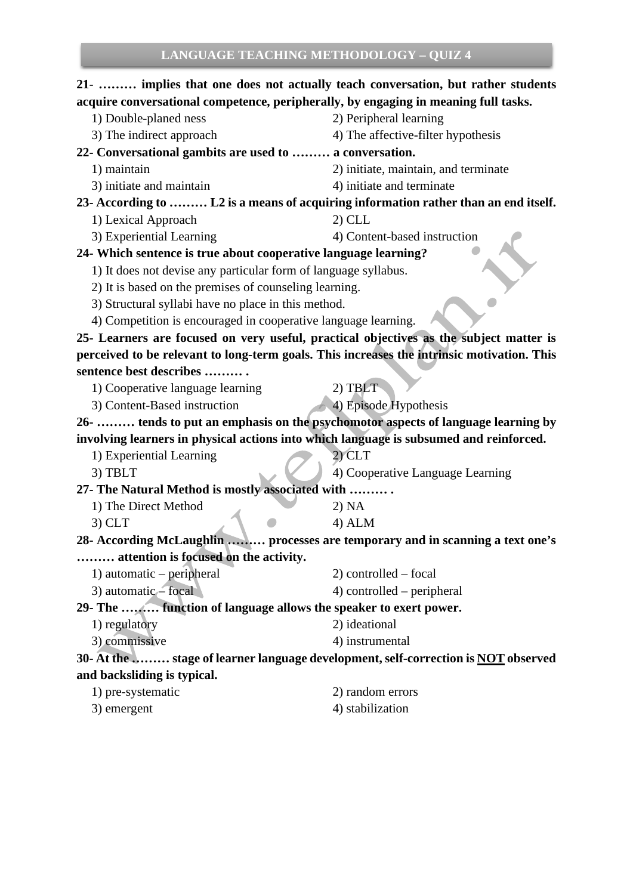## **21**- **……… implies that one does not actually teach conversation, but rather students acquire conversational competence, peripherally, by engaging in meaning full tasks.** 1) Double-planed ness 2) Peripheral learning

- 3) The indirect approach 4) The affective-filter hypothesis
- **22- Conversational gambits are used to ……… a conversation.** 
	- 1) maintain 2) initiate, maintain, and terminate
	- 3) initiate and maintain 4) initiate and terminate
- **23- According to ……… L2 is a means of acquiring information rather than an end itself.**
	- 1) Lexical Approach 2) CLL
	- 3) Experiential Learning 4) Content-based instruction

## **24- Which sentence is true about cooperative language learning?**

- 1) It does not devise any particular form of language syllabus.
- 2) It is based on the premises of counseling learning.
- 3) Structural syllabi have no place in this method.
- 4) Competition is encouraged in cooperative language learning.

**25- Learners are focused on very useful, practical objectives as the subject matter is perceived to be relevant to long-term goals. This increases the intrinsic motivation. This sentence best describes ……… .**

- 1) Cooperative language learning 2) TBLT
- 3) Content-Based instruction 4) Episode Hypothesis

**26- ……… tends to put an emphasis on the psychomotor aspects of language learning by involving learners in physical actions into which language is subsumed and reinforced.**

1) Experiential Learning 2) CLT

3) TBLT 4) Cooperative Language Learning

**27- The Natural Method is mostly associated with ……… .**

- 1) The Direct Method 2) NA
- $3)$  CLT 4) ALM

**28- According McLaughlin ……… processes are temporary and in scanning a text one's ……… attention is focused on the activity.** 

- 1) automatic peripheral 2) controlled focal
- $3)$  automatic focal  $4)$  controlled peripheral

**29- The ……… function of language allows the speaker to exert power.** 

- 1) regulatory 2) ideational
- 3) commissive 4) instrumental

**30- At the ……… stage of learner language development, self-correction is NOT observed and backsliding is typical.** 

| 1) pre-systematic | 2) random errors |
|-------------------|------------------|
| 3) emergent       | 4) stabilization |